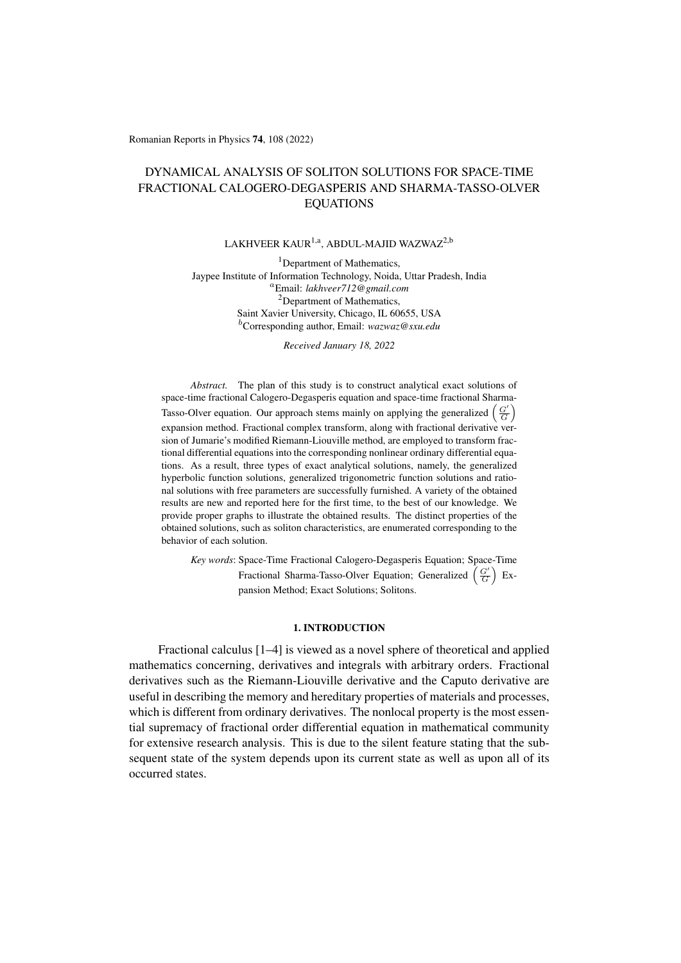Romanian Reports in Physics 74, 108 (2022)

# DYNAMICAL ANALYSIS OF SOLITON SOLUTIONS FOR SPACE-TIME FRACTIONAL CALOGERO-DEGASPERIS AND SHARMA-TASSO-OLVER EQUATIONS

## LAKHVEER KAUR<sup>1,a</sup>, ABDUL-MAJID WAZWAZ<sup>2,b</sup>

<sup>1</sup>Department of Mathematics, Jaypee Institute of Information Technology, Noida, Uttar Pradesh, India <sup>a</sup>Email: *lakhveer712@gmail.com* <sup>2</sup>Department of Mathematics, Saint Xavier University, Chicago, IL 60655, USA <sup>b</sup>Corresponding author, Email: *wazwaz@sxu.edu*

*Received January 18, 2022*

*Abstract.* The plan of this study is to construct analytical exact solutions of space-time fractional Calogero-Degasperis equation and space-time fractional Sharma-Tasso-Olver equation. Our approach stems mainly on applying the generalized  $\left(\frac{G'}{G}\right)$ expansion method. Fractional complex transform, along with fractional derivative version of Jumarie's modified Riemann-Liouville method, are employed to transform fractional differential equations into the corresponding nonlinear ordinary differential equations. As a result, three types of exact analytical solutions, namely, the generalized hyperbolic function solutions, generalized trigonometric function solutions and rational solutions with free parameters are successfully furnished. A variety of the obtained results are new and reported here for the first time, to the best of our knowledge. We provide proper graphs to illustrate the obtained results. The distinct properties of the obtained solutions, such as soliton characteristics, are enumerated corresponding to the behavior of each solution.

*Key words*: Space-Time Fractional Calogero-Degasperis Equation; Space-Time Fractional Sharma-Tasso-Olver Equation; Generalized  $\left(\frac{G'}{G}\right)$  Expansion Method; Exact Solutions; Solitons.

### 1. INTRODUCTION

Fractional calculus [\[1–](#page-14-0)[4\]](#page-14-1) is viewed as a novel sphere of theoretical and applied mathematics concerning, derivatives and integrals with arbitrary orders. Fractional derivatives such as the Riemann-Liouville derivative and the Caputo derivative are useful in describing the memory and hereditary properties of materials and processes, which is different from ordinary derivatives. The nonlocal property is the most essential supremacy of fractional order differential equation in mathematical community for extensive research analysis. This is due to the silent feature stating that the subsequent state of the system depends upon its current state as well as upon all of its occurred states.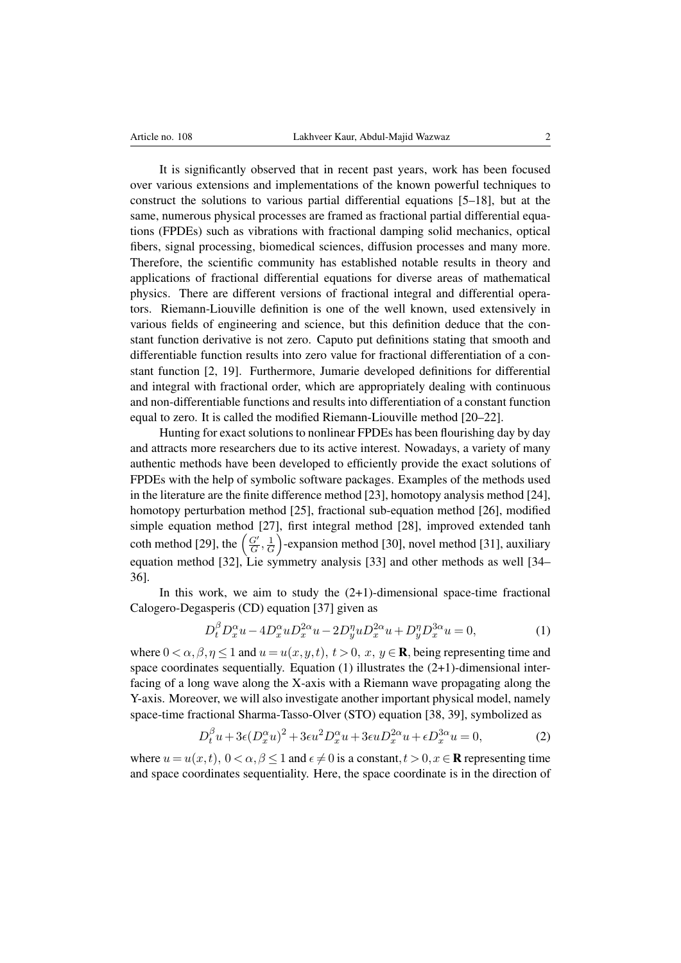It is significantly observed that in recent past years, work has been focused over various extensions and implementations of the known powerful techniques to construct the solutions to various partial differential equations [\[5](#page-14-2)[–18\]](#page-15-0), but at the same, numerous physical processes are framed as fractional partial differential equations (FPDEs) such as vibrations with fractional damping solid mechanics, optical fibers, signal processing, biomedical sciences, diffusion processes and many more. Therefore, the scientific community has established notable results in theory and applications of fractional differential equations for diverse areas of mathematical physics. There are different versions of fractional integral and differential operators. Riemann-Liouville definition is one of the well known, used extensively in various fields of engineering and science, but this definition deduce that the constant function derivative is not zero. Caputo put definitions stating that smooth and differentiable function results into zero value for fractional differentiation of a constant function [\[2,](#page-14-3) [19\]](#page-15-1). Furthermore, Jumarie developed definitions for differential and integral with fractional order, which are appropriately dealing with continuous and non-differentiable functions and results into differentiation of a constant function equal to zero. It is called the modified Riemann-Liouville method [\[20](#page-15-2)[–22\]](#page-15-3).

Hunting for exact solutions to nonlinear FPDEs has been flourishing day by day and attracts more researchers due to its active interest. Nowadays, a variety of many authentic methods have been developed to efficiently provide the exact solutions of FPDEs with the help of symbolic software packages. Examples of the methods used in the literature are the finite difference method [\[23\]](#page-15-4), homotopy analysis method [\[24\]](#page-15-5), homotopy perturbation method [\[25\]](#page-15-6), fractional sub-equation method [\[26\]](#page-15-7), modified simple equation method [\[27\]](#page-15-8), first integral method [\[28\]](#page-15-9), improved extended tanh coth method [\[29\]](#page-15-10), the  $\left(\frac{G'}{G}\right)$  $\frac{G'}{G},\frac{1}{G}$  $\frac{1}{G}$ )-expansion method [\[30\]](#page-15-11), novel method [\[31\]](#page-15-12), auxiliary equation method [\[32\]](#page-15-13), Lie symmetry analysis [\[33\]](#page-15-14) and other methods as well [\[34–](#page-15-15) [36\]](#page-16-0).

In this work, we aim to study the  $(2+1)$ -dimensional space-time fractional Calogero-Degasperis (CD) equation [\[37\]](#page-16-1) given as

<span id="page-1-0"></span>
$$
D_t^{\beta} D_x^{\alpha} u - 4D_x^{\alpha} u D_x^{2\alpha} u - 2D_y^{\eta} u D_x^{2\alpha} u + D_y^{\eta} D_x^{3\alpha} u = 0,
$$
 (1)

where  $0 < \alpha, \beta, \eta \leq 1$  and  $u = u(x, y, t), t > 0, x, y \in \mathbb{R}$ , being representing time and space coordinates sequentially. Equation  $(1)$  illustrates the  $(2+1)$ -dimensional interfacing of a long wave along the X-axis with a Riemann wave propagating along the Y-axis. Moreover, we will also investigate another important physical model, namely space-time fractional Sharma-Tasso-Olver (STO) equation [\[38,](#page-16-2) [39\]](#page-16-3), symbolized as

<span id="page-1-1"></span>
$$
D_t^{\beta} u + 3\epsilon (D_x^{\alpha} u)^2 + 3\epsilon u^2 D_x^{\alpha} u + 3\epsilon u D_x^{2\alpha} u + \epsilon D_x^{3\alpha} u = 0, \qquad (2)
$$

where  $u = u(x, t)$ ,  $0 < \alpha, \beta \le 1$  and  $\epsilon \ne 0$  is a constant,  $t > 0, x \in \mathbb{R}$  representing time and space coordinates sequentiality. Here, the space coordinate is in the direction of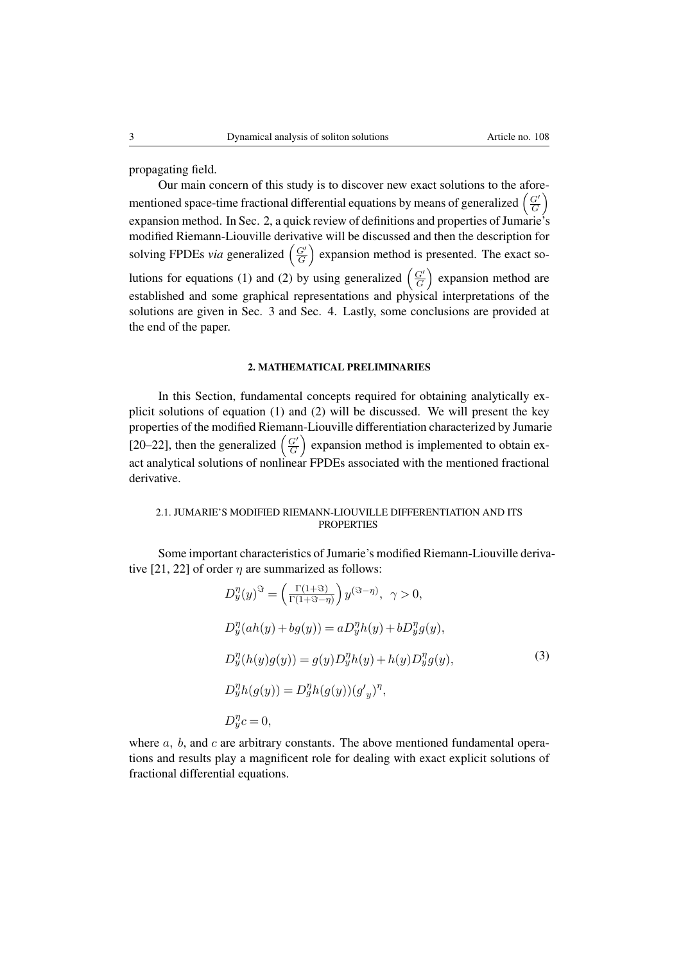propagating field.

Our main concern of this study is to discover new exact solutions to the aforementioned space-time fractional differential equations by means of generalized  $\left(\frac{G'}{G}\right)$  $\left(\frac{G'}{G}\right)$ expansion method. In Sec. 2, a quick review of definitions and properties of Jumarie's modified Riemann-Liouville derivative will be discussed and then the description for solving FPDEs *via* generalized  $\left(\frac{G'}{G}\right)$  $\left(\frac{G'}{G}\right)$  expansion method is presented. The exact so-lutions for equations [\(1\)](#page-1-0) and [\(2\)](#page-1-1) by using generalized  $\left(\frac{G'}{G}\right)$  $\left(\frac{G'}{G}\right)$  expansion method are established and some graphical representations and physical interpretations of the solutions are given in Sec. 3 and Sec. 4. Lastly, some conclusions are provided at the end of the paper.

#### 2. MATHEMATICAL PRELIMINARIES

In this Section, fundamental concepts required for obtaining analytically explicit solutions of equation [\(1\)](#page-1-0) and [\(2\)](#page-1-1) will be discussed. We will present the key properties of the modified Riemann-Liouville differentiation characterized by Jumarie [\[20](#page-15-2)[–22\]](#page-15-3), then the generalized  $\left(\frac{G'}{G}\right)$  $\left(\frac{G'}{G}\right)$  expansion method is implemented to obtain exact analytical solutions of nonlinear FPDEs associated with the mentioned fractional derivative.

### 2.1. JUMARIE'S MODIFIED RIEMANN-LIOUVILLE DIFFERENTIATION AND ITS **PROPERTIES**

Some important characteristics of Jumarie's modified Riemann-Liouville deriva-tive [\[21,](#page-15-16) [22\]](#page-15-3) of order  $\eta$  are summarized as follows:

$$
D_y^{\eta}(y)^{\Im} = \left(\frac{\Gamma(1+\Im)}{\Gamma(1+\Im-\eta)}\right) y^{(\Im-\eta)}, \quad \gamma > 0,
$$
  
\n
$$
D_y^{\eta}(ah(y) + bg(y)) = aD_y^{\eta}h(y) + bD_y^{\eta}g(y),
$$
  
\n
$$
D_y^{\eta}(h(y)g(y)) = g(y)D_y^{\eta}h(y) + h(y)D_y^{\eta}g(y),
$$
  
\n
$$
D_y^{\eta}h(g(y)) = D_y^{\eta}h(g(y))(g'y)^{\eta},
$$
  
\n
$$
D_y^{\eta}c = 0,
$$
  
\n(3)

where  $a, b$ , and  $c$  are arbitrary constants. The above mentioned fundamental operations and results play a magnificent role for dealing with exact explicit solutions of fractional differential equations.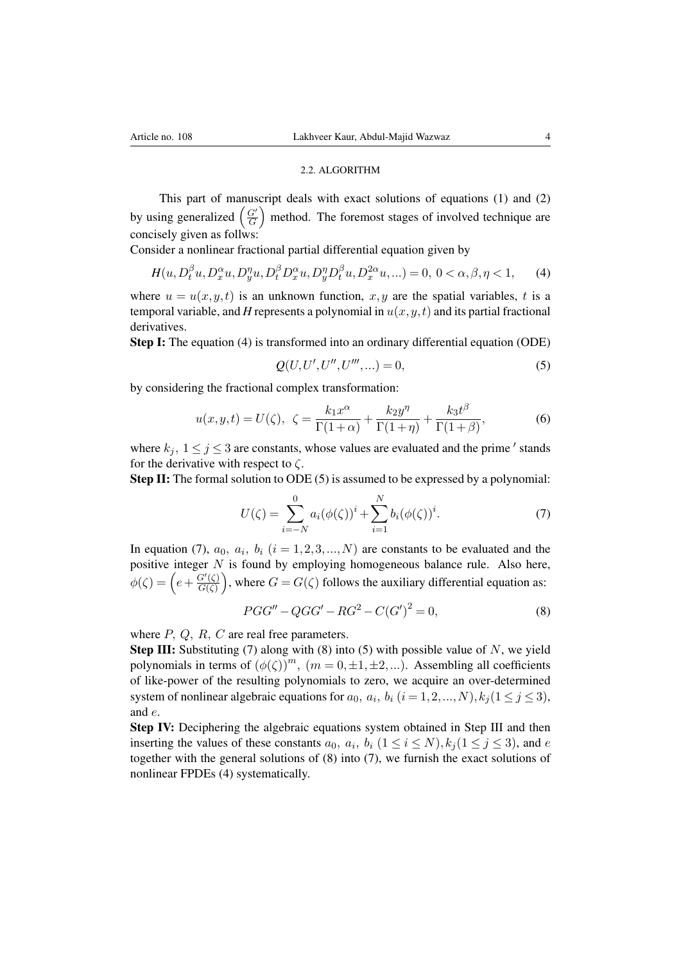#### 2.2. ALGORITHM

This part of manuscript deals with exact solutions of equations [\(1\)](#page-1-0) and [\(2\)](#page-1-1) by using generalized  $\left(\frac{G'}{G}\right)$  $\left(\frac{G'}{G}\right)$  method. The foremost stages of involved technique are concisely given as follws:

Consider a nonlinear fractional partial differential equation given by

<span id="page-3-0"></span>
$$
H(u, D_t^{\beta} u, D_x^{\alpha} u, D_y^{\eta} u, D_t^{\beta} D_x^{\alpha} u, D_y^{\eta} D_t^{\beta} u, D_x^{2\alpha} u, \ldots) = 0, 0 < \alpha, \beta, \eta < 1,
$$
 (4)

where  $u = u(x, y, t)$  is an unknown function, x, y are the spatial variables, t is a temporal variable, and *H* represents a polynomial in  $u(x, y, t)$  and its partial fractional derivatives.

Step I: The equation [\(4\)](#page-3-0) is transformed into an ordinary differential equation (ODE)

<span id="page-3-1"></span>
$$
Q(U, U', U'', U''', \ldots) = 0,\t\t(5)
$$

by considering the fractional complex transformation:

<span id="page-3-4"></span>
$$
u(x,y,t) = U(\zeta), \ \ \zeta = \frac{k_1 x^{\alpha}}{\Gamma(1+\alpha)} + \frac{k_2 y^{\eta}}{\Gamma(1+\eta)} + \frac{k_3 t^{\beta}}{\Gamma(1+\beta)}, \tag{6}
$$

where  $k_j$ ,  $1 \le j \le 3$  are constants, whose values are evaluated and the prime  $\prime$  stands for the derivative with respect to  $\zeta$ .

Step II: The formal solution to ODE [\(5\)](#page-3-1) is assumed to be expressed by a polynomial:

<span id="page-3-2"></span>
$$
U(\zeta) = \sum_{i=-N}^{0} a_i (\phi(\zeta))^i + \sum_{i=1}^{N} b_i (\phi(\zeta))^i.
$$
 (7)

In equation [\(7\)](#page-3-2),  $a_0$ ,  $a_i$ ,  $b_i$  ( $i = 1, 2, 3, ..., N$ ) are constants to be evaluated and the positive integer  $N$  is found by employing homogeneous balance rule. Also here,  $\phi(\zeta) = \left(e + \frac{G'(\zeta)}{G(\zeta)}\right)$  $\frac{G'(\zeta)}{G(\zeta)}\big)$ , where  $G = G(\zeta)$  follows the auxiliary differential equation as:

<span id="page-3-3"></span>
$$
PGG'' - QGG' - RG^2 - C(G')^2 = 0,
$$
\n(8)

where  $P$ ,  $Q$ ,  $R$ ,  $C$  are real free parameters.

**Step III:** Substituting [\(7\)](#page-3-2) along with [\(8\)](#page-3-3) into [\(5\)](#page-3-1) with possible value of  $N$ , we yield polynomials in terms of  $(\phi(\zeta))^m$ ,  $(m = 0, \pm 1, \pm 2,...)$ . Assembling all coefficients of like-power of the resulting polynomials to zero, we acquire an over-determined system of nonlinear algebraic equations for  $a_0$ ,  $a_i$ ,  $b_i$   $(i = 1, 2, ..., N)$ ,  $k_j$   $(1 \le j \le 3)$ , and e.

Step IV: Deciphering the algebraic equations system obtained in Step III and then inserting the values of these constants  $a_0$ ,  $a_i$ ,  $b_i$   $(1 \le i \le N), k_j$  $(1 \le j \le 3)$ , and e together with the general solutions of [\(8\)](#page-3-3) into [\(7\)](#page-3-2), we furnish the exact solutions of nonlinear FPDEs [\(4\)](#page-3-0) systematically.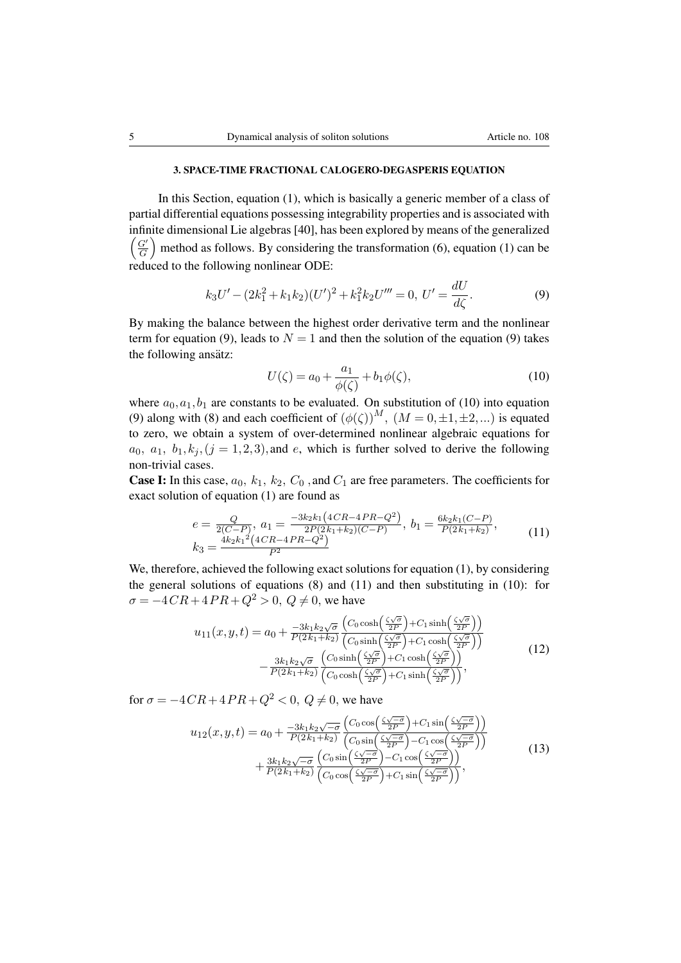#### 3. SPACE-TIME FRACTIONAL CALOGERO-DEGASPERIS EQUATION

In this Section, equation [\(1\)](#page-1-0), which is basically a generic member of a class of partial differential equations possessing integrability properties and is associated with infinite dimensional Lie algebras [\[40\]](#page-16-4), has been explored by means of the generalized  $\int G'$  $\left(\frac{G'}{G}\right)$  method as follows. By considering the transformation [\(6\)](#page-3-4), equation [\(1\)](#page-1-0) can be reduced to the following nonlinear ODE:

<span id="page-4-0"></span>
$$
k_3U' - (2k_1^2 + k_1k_2)(U')^2 + k_1^2k_2U''' = 0, \ U' = \frac{dU}{d\zeta}.
$$
 (9)

By making the balance between the highest order derivative term and the nonlinear term for equation [\(9\)](#page-4-0), leads to  $N = 1$  and then the solution of the equation (9) takes the following ansätz:

<span id="page-4-1"></span>
$$
U(\zeta) = a_0 + \frac{a_1}{\phi(\zeta)} + b_1\phi(\zeta),\tag{10}
$$

where  $a_0, a_1, b_1$  are constants to be evaluated. On substitution of [\(10\)](#page-4-1) into equation [\(9\)](#page-4-0) along with [\(8\)](#page-3-3) and each coefficient of  $(\phi(\zeta))^M$ ,  $(M = 0, \pm 1, \pm 2,...)$  is equated to zero, we obtain a system of over-determined nonlinear algebraic equations for  $a_0, a_1, b_1, k_i, (j = 1, 2, 3)$ , and e, which is further solved to derive the following non-trivial cases.

**Case I:** In this case,  $a_0$ ,  $k_1$ ,  $k_2$ ,  $C_0$ , and  $C_1$  are free parameters. The coefficients for exact solution of equation [\(1\)](#page-1-0) are found as

<span id="page-4-2"></span>
$$
e = \frac{Q}{2(C-P)}, \ a_1 = \frac{-3k_2k_1(4CR - 4PR - Q^2)}{2P(2k_1 + k_2)(C-P)}, \ b_1 = \frac{6k_2k_1(C-P)}{P(2k_1 + k_2)},
$$
  
\n
$$
k_3 = \frac{4k_2k_1^2(4CR - 4PR - Q^2)}{P^2}
$$
\n(11)

We, therefore, achieved the following exact solutions for equation [\(1\)](#page-1-0), by considering the general solutions of equations [\(8\)](#page-3-3) and [\(11\)](#page-4-2) and then substituting in [\(10\)](#page-4-1): for  $\sigma = -4CR + 4PR + Q^2 > 0$ ,  $Q \neq 0$ , we have

$$
u_{11}(x,y,t) = a_0 + \frac{-3k_1k_2\sqrt{\sigma}}{P(2k_1+k_2)} \frac{\left(C_0 \cosh\left(\frac{\zeta\sqrt{\sigma}}{2P}\right) + C_1 \sinh\left(\frac{\zeta\sqrt{\sigma}}{2P}\right)\right)}{\left(C_0 \sinh\left(\frac{\zeta\sqrt{\sigma}}{2P}\right) + C_1 \cosh\left(\frac{\zeta\sqrt{\sigma}}{2P}\right)\right)} - \frac{3k_1k_2\sqrt{\sigma}}{P(2k_1+k_2)} \frac{\left(C_0 \sinh\left(\frac{\zeta\sqrt{\sigma}}{2P}\right) + C_1 \cosh\left(\frac{\zeta\sqrt{\sigma}}{2P}\right)\right)}{\left(C_0 \cosh\left(\frac{\zeta\sqrt{\sigma}}{2P}\right) + C_1 \sinh\left(\frac{\zeta\sqrt{\sigma}}{2P}\right)\right)},
$$
\n(12)

for  $\sigma = -4CR + 4PR + Q^2 < 0$ ,  $Q \neq 0$ , we have

$$
u_{12}(x,y,t) = a_0 + \frac{-3k_1k_2\sqrt{-\sigma}}{P(2k_1+k_2)} \frac{\left(C_0 \cos\left(\frac{\zeta\sqrt{-\sigma}}{2P}\right) + C_1 \sin\left(\frac{\zeta\sqrt{-\sigma}}{2P}\right)\right)}{\left(C_0 \sin\left(\frac{\zeta\sqrt{-\sigma}}{2P}\right) - C_1 \cos\left(\frac{\zeta\sqrt{-\sigma}}{2P}\right)\right)} + \frac{3k_1k_2\sqrt{-\sigma}}{P(2k_1+k_2)} \frac{\left(C_0 \sin\left(\frac{\zeta\sqrt{-\sigma}}{2P}\right) - C_1 \cos\left(\frac{\zeta\sqrt{-\sigma}}{2P}\right)\right)}{\left(C_0 \cos\left(\frac{\zeta\sqrt{-\sigma}}{2P}\right) + C_1 \sin\left(\frac{\zeta\sqrt{-\sigma}}{2P}\right)\right)},
$$
\n(13)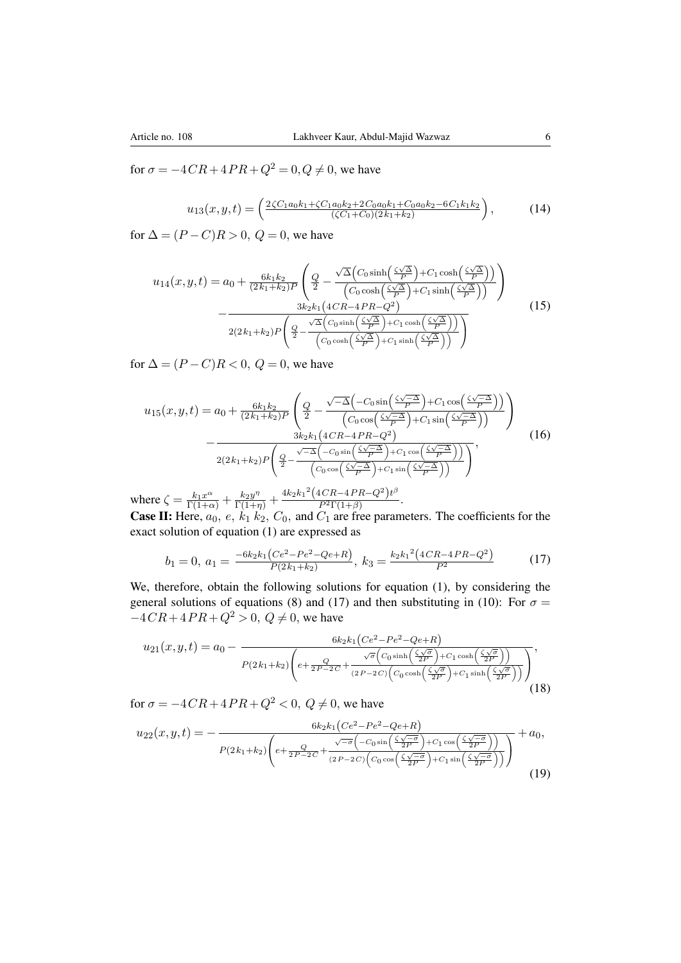for  $\sigma = -4CR + 4PR + Q^2 = 0, Q \neq 0$ , we have

$$
u_{13}(x,y,t) = \left(\frac{2\zeta C_1 a_0 k_1 + \zeta C_1 a_0 k_2 + 2C_0 a_0 k_1 + C_0 a_0 k_2 - 6C_1 k_1 k_2}{(\zeta C_1 + C_0)(2k_1 + k_2)}\right),\tag{14}
$$

for  $\Delta = (P - C)R > 0$ ,  $Q = 0$ , we have

$$
u_{14}(x,y,t) = a_0 + \frac{6k_1k_2}{(2k_1+k_2)P} \left( \frac{Q}{2} - \frac{\sqrt{\Delta} \left( C_0 \sinh\left(\frac{\zeta\sqrt{\Delta}}{P}\right) + C_1 \cosh\left(\frac{\zeta\sqrt{\Delta}}{P}\right) \right)}{\left( C_0 \cosh\left(\frac{\zeta\sqrt{\Delta}}{P}\right) + C_1 \sinh\left(\frac{\zeta\sqrt{\Delta}}{P}\right) \right)} \right) - \frac{3k_2k_1\left(4CR - 4PR - Q^2\right)}{2(2k_1+k_2)P \left( \frac{Q}{2} - \frac{\sqrt{\Delta} \left( C_0 \sinh\left(\frac{\zeta\sqrt{\Delta}}{P}\right) + C_1 \cosh\left(\frac{\zeta\sqrt{\Delta}}{P}\right) \right)}{\left( C_0 \cosh\left(\frac{\zeta\sqrt{\Delta}}{P}\right) + C_1 \sinh\left(\frac{\zeta\sqrt{\Delta}}{P}\right) \right)} \right)}
$$
(15)

for  $\Delta = (P - C)R < 0$ ,  $Q = 0$ , we have

$$
u_{15}(x,y,t) = a_0 + \frac{6k_1k_2}{(2k_1+k_2)P} \left( \frac{Q}{2} - \frac{\sqrt{-\Delta} \left( -C_0 \sin\left(\frac{\zeta\sqrt{-\Delta}}{P}\right) + C_1 \cos\left(\frac{\zeta\sqrt{-\Delta}}{P}\right) \right)}{\left(C_0 \cos\left(\frac{\zeta\sqrt{-\Delta}}{P}\right) + C_1 \sin\left(\frac{\zeta\sqrt{-\Delta}}{P}\right) \right)} \right) - \frac{3k_2k_1\left(4CR - 4PR - Q^2\right)}{2(2k_1+k_2)P\left(\frac{Q}{2} - \frac{\sqrt{-\Delta}\left(-C_0 \sin\left(\frac{\zeta\sqrt{-\Delta}}{P}\right) + C_1 \cos\left(\frac{\zeta\sqrt{-\Delta}}{P}\right)\right)}{\left(C_0 \cos\left(\frac{\zeta\sqrt{-\Delta}}{P}\right) + C_1 \sin\left(\frac{\zeta\sqrt{-\Delta}}{P}\right)\right)} \right)},
$$
\n(16)

where  $\zeta = \frac{k_1 x^{\alpha}}{\Gamma(1+\alpha)} + \frac{k_2 y^{\eta}}{\Gamma(1+\eta)} + \frac{4k_2 k_1^2 (4CR - 4PR - Q^2)t^{\beta}}{P^2 \Gamma(1+\beta)}$  $\frac{P^2\Gamma(1+\beta)}{P^2\Gamma(1+\beta)}$ . **Case II:** Here,  $a_0$ ,  $e$ ,  $k_1 k_2$ ,  $C_0$ , and  $C_1$  are free parameters. The coefficients for the exact solution of equation [\(1\)](#page-1-0) are expressed as

<span id="page-5-0"></span>
$$
b_1 = 0, \ a_1 = \frac{-6k_2k_1(Ce^2 - Pe^2 - Qe + R)}{P(2k_1 + k_2)}, \ k_3 = \frac{k_2k_1^2(4CR - 4PR - Q^2)}{P^2}
$$
(17)

We, therefore, obtain the following solutions for equation [\(1\)](#page-1-0), by considering the general solutions of equations [\(8\)](#page-3-3) and [\(17\)](#page-5-0) and then substituting in [\(10\)](#page-4-1): For  $\sigma =$  $-4CR+4PR+Q^2 > 0$ ,  $Q \neq 0$ , we have

$$
u_{21}(x,y,t) = a_0 - \frac{6k_2k_1(Ce^2 - Pe^2 - Qe + R)}{P(2k_1 + k_2)\left(e + \frac{Q}{2P - 2C} + \frac{\sqrt{\sigma}(C_0 \sinh\left(\frac{\zeta\sqrt{\sigma}}{2P}\right) + C_1 \cosh\left(\frac{\zeta\sqrt{\sigma}}{2P}\right))}{(2P - 2C)\left(C_0 \cosh\left(\frac{\zeta\sqrt{\sigma}}{2P}\right) + C_1 \sinh\left(\frac{\zeta\sqrt{\sigma}}{2P}\right)\right)}\right)},
$$
\n(18)

for  $\sigma = -4CR + 4PR + Q^2 < 0$ ,  $Q \neq 0$ , we have

$$
u_{22}(x,y,t) = -\frac{6k_2k_1(Ce^2 - Pe^2 - Qe + R)}{P(2k_1 + k_2)\left(e + \frac{Q}{2P - 2C} + \frac{\sqrt{-\sigma}\left(-C_0\sin\left(\frac{\zeta\sqrt{-\sigma}}{2P}\right) + C_1\cos\left(\frac{\zeta\sqrt{-\sigma}}{2P}\right)\right)}{(2P - 2C)\left(C_0\cos\left(\frac{\zeta\sqrt{-\sigma}}{2P}\right) + C_1\sin\left(\frac{\zeta\sqrt{-\sigma}}{2P}\right)\right)}\right)} + a_0,
$$
\n(19)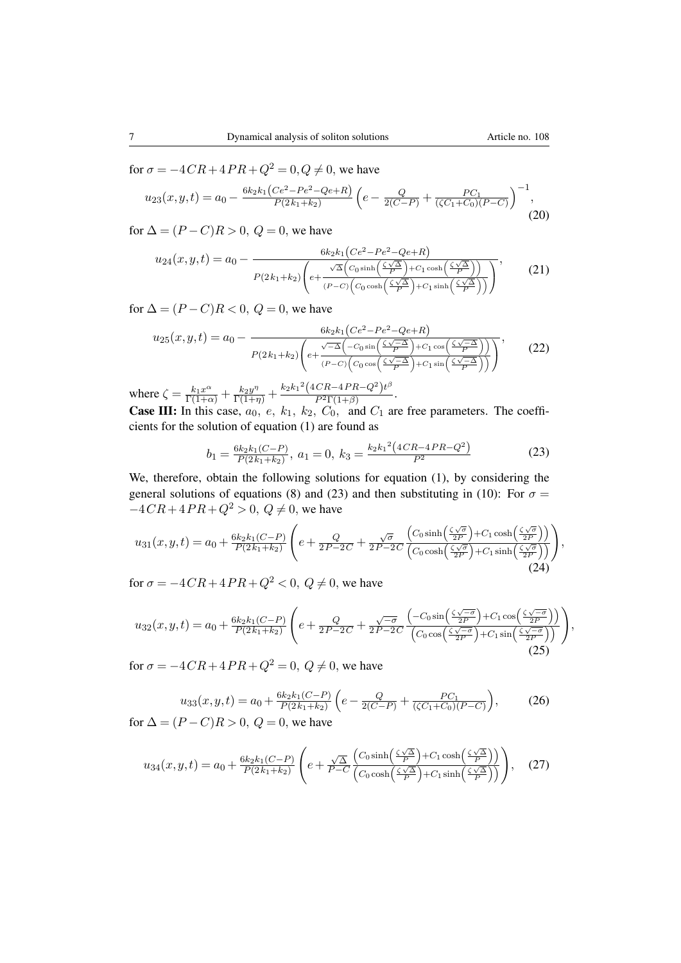for  $\sigma = -4CR + 4PR + Q^2 = 0, Q \neq 0$ , we have

$$
u_{23}(x,y,t) = a_0 - \frac{6k_2k_1(Ce^2 - Pe^2 - Qe + R)}{P(2k_1 + k_2)} \left( e - \frac{Q}{2(C - P)} + \frac{PC_1}{(\zeta C_1 + C_0)(P - C)} \right)^{-1},\tag{20}
$$

for  $\Delta = (P - C)R > 0$ ,  $Q = 0$ , we have

$$
u_{24}(x,y,t) = a_0 - \frac{6k_2k_1(Ce^2 - Pe^2 - Qe + R)}{P(2k_1 + k_2)\left(e + \frac{\sqrt{\Delta}\left(C_0 \sinh\left(\frac{\zeta\sqrt{\Delta}}{P}\right) + C_1 \cosh\left(\frac{\zeta\sqrt{\Delta}}{P}\right)\right)}{(P-C)\left(C_0 \cosh\left(\frac{\zeta\sqrt{\Delta}}{P}\right) + C_1 \sinh\left(\frac{\zeta\sqrt{\Delta}}{P}\right)\right)}\right)},
$$
(21)

for  $\Delta = (P - C)R < 0$ ,  $Q = 0$ , we have

$$
u_{25}(x,y,t) = a_0 - \frac{6k_2k_1(Ce^2 - Pe^2 - Qe + R)}{P(2k_1 + k_2)\left(e + \frac{\sqrt{-\Delta}\left(-C_0\sin\left(\frac{\zeta\sqrt{-\Delta}}{P}\right) + C_1\cos\left(\frac{\zeta\sqrt{-\Delta}}{P}\right)\right)}{(P-C)\left(C_0\cos\left(\frac{\zeta\sqrt{-\Delta}}{P}\right) + C_1\sin\left(\frac{\zeta\sqrt{-\Delta}}{P}\right)\right)}\right)},\tag{22}
$$

where  $\zeta = \frac{k_1 x^{\alpha}}{\Gamma(1+\alpha)} + \frac{k_2 y^{\eta}}{\Gamma(1+\eta)} + \frac{k_2 k_1^2 (4CR - 4PR - Q^2)t^{\beta}}{P^2 \Gamma(1+\beta)}$  $\frac{\varphi_1 e^{-\frac{1}{2} \int \varphi_1 e^{-\frac{1}{2} \int \varphi_2 e^{-\frac{1}{2} \int \varphi_1 e^{-\frac{1}{2} \int \varphi_2 e^{-\frac{1}{2} \int \varphi_1 e^{-\frac{1}{2} \int \varphi_2 e^{-\frac{1}{2} \int \varphi_2 e^{-\frac{1}{2} \int \varphi_2 e^{-\frac{1}{2} \int \varphi_2 e^{-\frac{1}{2} \int \varphi_2 e^{-\frac{1}{2} \int \varphi_2 e^{-\frac{1}{2} \int \varphi_2 e^{-\frac{1}{2} \int \varphi_2 e^{-\frac{$ 

**Case III:** In this case,  $a_0$ ,  $e$ ,  $k_1$ ,  $k_2$ ,  $C_0$ , and  $C_1$  are free parameters. The coefficients for the solution of equation [\(1\)](#page-1-0) are found as

<span id="page-6-0"></span>
$$
b_1 = \frac{6k_2k_1(C-P)}{P(2k_1+k_2)}, \ a_1 = 0, \ k_3 = \frac{k_2k_1^2(4CR-4PR-Q^2)}{P^2}
$$
 (23)

We, therefore, obtain the following solutions for equation [\(1\)](#page-1-0), by considering the general solutions of equations [\(8\)](#page-3-3) and [\(23\)](#page-6-0) and then substituting in [\(10\)](#page-4-1): For  $\sigma =$  $-4CR+4PR+Q^2 > 0, Q \neq 0$ , we have

$$
u_{31}(x,y,t) = a_0 + \frac{6k_2k_1(C-P)}{P(2k_1+k_2)} \left( e + \frac{Q}{2P-2C} + \frac{\sqrt{\sigma}}{2P-2C} \frac{\left( C_0 \sinh\left(\frac{\zeta\sqrt{\sigma}}{2P}\right) + C_1 \cosh\left(\frac{\zeta\sqrt{\sigma}}{2P}\right) \right)}{\left( C_0 \cosh\left(\frac{\zeta\sqrt{\sigma}}{2P}\right) + C_1 \sinh\left(\frac{\zeta\sqrt{\sigma}}{2P}\right) \right)} \right),\tag{24}
$$

for  $\sigma = -4CR + 4PR + Q^2 < 0$ ,  $Q \neq 0$ , we have

$$
u_{32}(x,y,t) = a_0 + \frac{6k_2k_1(C-P)}{P(2k_1+k_2)} \left( e + \frac{Q}{2P-2C} + \frac{\sqrt{-\sigma}}{2P-2C} \frac{\left(-C_0 \sin\left(\frac{\zeta\sqrt{-\sigma}}{2P}\right) + C_1 \cos\left(\frac{\zeta\sqrt{-\sigma}}{2P}\right)\right)}{\left(C_0 \cos\left(\frac{\zeta\sqrt{-\sigma}}{2P}\right) + C_1 \sin\left(\frac{\zeta\sqrt{-\sigma}}{2P}\right)\right)} \right),\tag{25}
$$

for  $\sigma = -4CR + 4PR + Q^2 = 0$ ,  $Q \neq 0$ , we have

$$
u_{33}(x, y, t) = a_0 + \frac{6k_2k_1(C-P)}{P(2k_1+k_2)} \left(e - \frac{Q}{2(C-P)} + \frac{PC_1}{(\zeta C_1 + C_0)(P-C)}\right),\tag{26}
$$

for  $\Delta = (P - C)R > 0$ ,  $Q = 0$ , we have

$$
u_{34}(x,y,t) = a_0 + \frac{6k_2k_1(C-P)}{P(2k_1+k_2)} \left( e + \frac{\sqrt{\Delta}}{P-C} \frac{\left( C_0 \sinh\left(\frac{\zeta\sqrt{\Delta}}{P}\right) + C_1 \cosh\left(\frac{\zeta\sqrt{\Delta}}{P}\right) \right)}{\left( C_0 \cosh\left(\frac{\zeta\sqrt{\Delta}}{P}\right) + C_1 \sinh\left(\frac{\zeta\sqrt{\Delta}}{P}\right) \right)} \right), \quad (27)
$$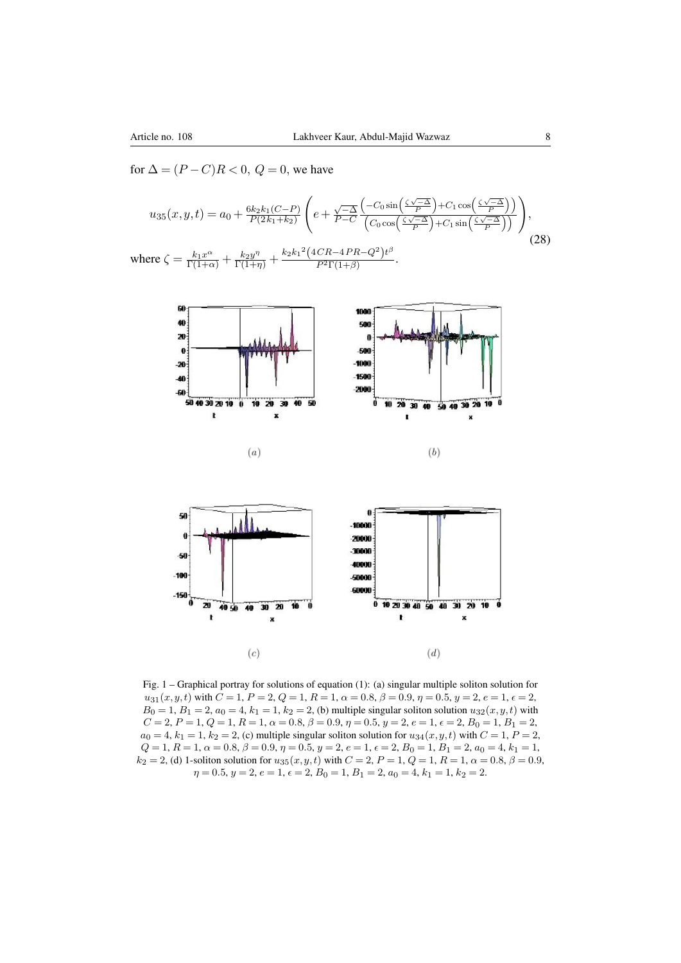for  $\Delta = (P - C)R < 0$ ,  $Q = 0$ , we have

$$
u_{35}(x,y,t) = a_0 + \frac{6k_2k_1(C-P)}{P(2k_1+k_2)} \left(e + \frac{\sqrt{-\Delta}}{P-C} \frac{\left(-C_0 \sin\left(\frac{\zeta\sqrt{-\Delta}}{P}\right) + C_1 \cos\left(\frac{\zeta\sqrt{-\Delta}}{P}\right)\right)}{\left(C_0 \cos\left(\frac{\zeta\sqrt{-\Delta}}{P}\right) + C_1 \sin\left(\frac{\zeta\sqrt{-\Delta}}{P}\right)\right)}\right),
$$
  
where  $\zeta = \frac{k_1x^{\alpha}}{\Gamma(1+\alpha)} + \frac{k_2y^{\eta}}{\Gamma(1+\eta)} + \frac{k_2k_1^2(4CR - 4PR - Q^2)t^{\beta}}{P^2\Gamma(1+\beta)}.$  (28)





Fig. 1 – Graphical portray for solutions of equation [\(1\)](#page-1-0): (a) singular multiple soliton solution for  $u_{31}(x, y, t)$  with  $C = 1$ ,  $P = 2$ ,  $Q = 1$ ,  $R = 1$ ,  $\alpha = 0.8$ ,  $\beta = 0.9$ ,  $\eta = 0.5$ ,  $y = 2$ ,  $e = 1$ ,  $\epsilon = 2$ ,  $B_0 = 1, B_1 = 2, a_0 = 4, k_1 = 1, k_2 = 2,$  (b) multiple singular soliton solution  $u_{32}(x, y, t)$  with  $C = 2, P = 1, Q = 1, R = 1, \alpha = 0.8, \beta = 0.9, \eta = 0.5, y = 2, e = 1, \epsilon = 2, B_0 = 1, B_1 = 2,$  $a_0 = 4$ ,  $k_1 = 1$ ,  $k_2 = 2$ , (c) multiple singular soliton solution for  $u_{34}(x, y, t)$  with  $C = 1$ ,  $P = 2$ ,  $Q=1,\,R=1,\,\alpha=0.8,\,\beta=0.9,\,\eta=0.5,\,y=2,\,e=1,\,\epsilon=2,\,B_{0}=1,\,B_{1}=2,\,a_{0}=4,\,k_{1}=1,$  $k_2 = 2$ , (d) 1-soliton solution for  $u_{35}(x, y, t)$  with  $C = 2$ ,  $P = 1$ ,  $Q = 1$ ,  $R = 1$ ,  $\alpha = 0.8$ ,  $\beta = 0.9$ ,  $\eta = 0.5, y = 2, e = 1, \epsilon = 2, B_0 = 1, B_1 = 2, a_0 = 4, k_1 = 1, k_2 = 2.$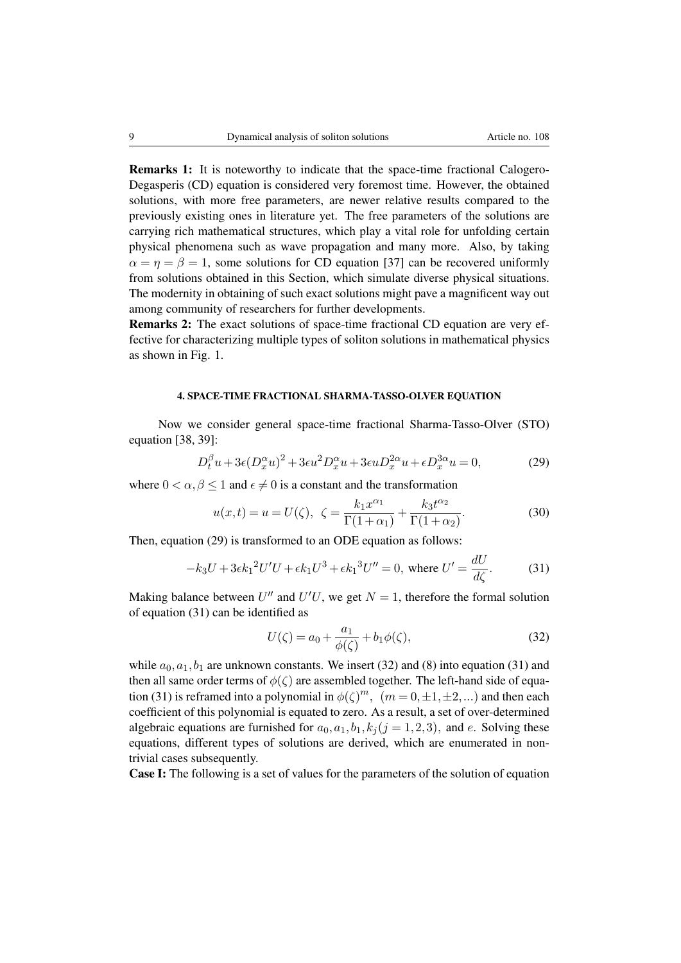Remarks 1: It is noteworthy to indicate that the space-time fractional Calogero-Degasperis (CD) equation is considered very foremost time. However, the obtained solutions, with more free parameters, are newer relative results compared to the previously existing ones in literature yet. The free parameters of the solutions are carrying rich mathematical structures, which play a vital role for unfolding certain physical phenomena such as wave propagation and many more. Also, by taking  $\alpha = \eta = \beta = 1$ , some solutions for CD equation [\[37\]](#page-16-1) can be recovered uniformly from solutions obtained in this Section, which simulate diverse physical situations. The modernity in obtaining of such exact solutions might pave a magnificent way out among community of researchers for further developments.

Remarks 2: The exact solutions of space-time fractional CD equation are very effective for characterizing multiple types of soliton solutions in mathematical physics as shown in Fig. 1.

### 4. SPACE-TIME FRACTIONAL SHARMA-TASSO-OLVER EQUATION

Now we consider general space-time fractional Sharma-Tasso-Olver (STO) equation [\[38,](#page-16-2) [39\]](#page-16-3):

<span id="page-8-0"></span>
$$
D_t^{\beta}u + 3\epsilon (D_x^{\alpha}u)^2 + 3\epsilon u^2 D_x^{\alpha}u + 3\epsilon u D_x^{2\alpha}u + \epsilon D_x^{3\alpha}u = 0, \qquad (29)
$$

where  $0 < \alpha, \beta < 1$  and  $\epsilon \neq 0$  is a constant and the transformation

$$
u(x,t) = u = U(\zeta), \ \ \zeta = \frac{k_1 x^{\alpha_1}}{\Gamma(1+\alpha_1)} + \frac{k_3 t^{\alpha_2}}{\Gamma(1+\alpha_2)}.
$$
 (30)

Then, equation [\(29\)](#page-8-0) is transformed to an ODE equation as follows:

<span id="page-8-1"></span>
$$
-k_3 U + 3\epsilon k_1^2 U'U + \epsilon k_1 U^3 + \epsilon k_1^3 U'' = 0, \text{ where } U' = \frac{dU}{d\zeta}.
$$
 (31)

Making balance between  $U''$  and  $U'U$ , we get  $N = 1$ , therefore the formal solution of equation [\(31\)](#page-8-1) can be identified as

<span id="page-8-2"></span>
$$
U(\zeta) = a_0 + \frac{a_1}{\phi(\zeta)} + b_1 \phi(\zeta),
$$
\n(32)

while  $a_0, a_1, b_1$  are unknown constants. We insert [\(32\)](#page-8-2) and [\(8\)](#page-3-3) into equation [\(31\)](#page-8-1) and then all same order terms of  $\phi(\zeta)$  are assembled together. The left-hand side of equa-tion [\(31\)](#page-8-1) is reframed into a polynomial in  $\phi(\zeta)^m$ ,  $(m=0,\pm 1,\pm 2,...)$  and then each coefficient of this polynomial is equated to zero. As a result, a set of over-determined algebraic equations are furnished for  $a_0, a_1, b_1, k_i (j = 1, 2, 3)$ , and e. Solving these equations, different types of solutions are derived, which are enumerated in nontrivial cases subsequently.

Case I: The following is a set of values for the parameters of the solution of equation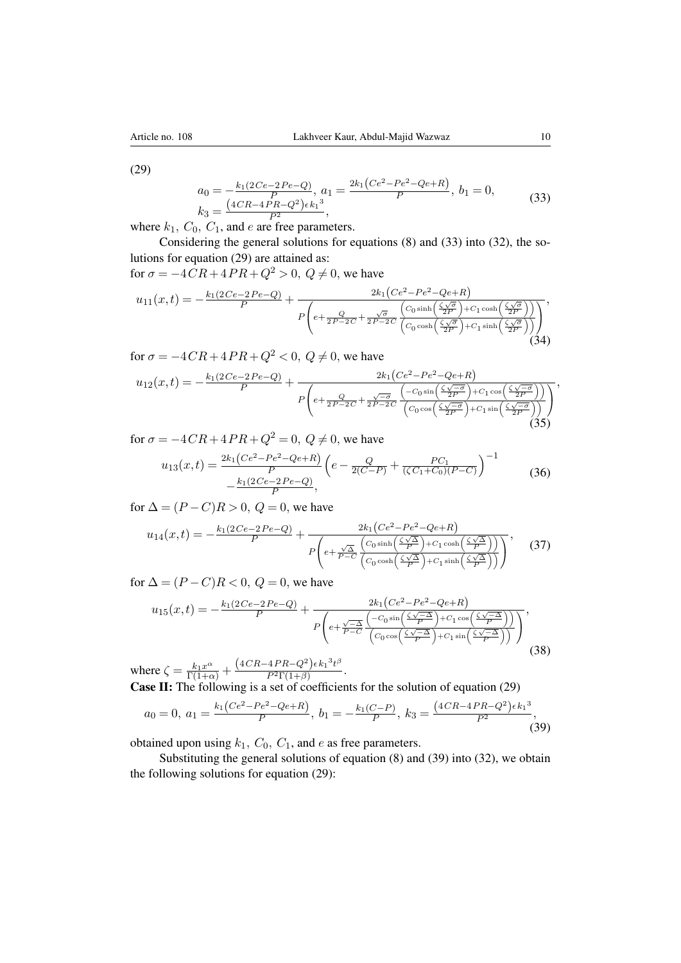[\(29\)](#page-8-0)

<span id="page-9-0"></span>
$$
a_0 = -\frac{k_1(2Ce - 2Pe - Q)}{P}, \ a_1 = \frac{2k_1(Ce^2 - Pe^2 - Qe + R)}{P}, \ b_1 = 0, \ a_3 = \frac{(4CR - 4PR - Q^2)\epsilon k_1^3}{P},
$$
\n
$$
(33)
$$

where  $k_1$ ,  $C_0$ ,  $C_1$ , and  $e$  are free parameters.

Considering the general solutions for equations [\(8\)](#page-3-3) and [\(33\)](#page-9-0) into [\(32\)](#page-8-2), the solutions for equation [\(29\)](#page-8-0) are attained as:

for  $\sigma = -4CR + 4PR + Q^2 > 0$ ,  $Q \neq 0$ , we have

$$
u_{11}(x,t) = -\frac{k_1(2Ce-2Pe-Q)}{P} + \frac{2k_1(Ce^2 - Pe^2 - Qe+R)}{P\left(e + \frac{Q}{2P - 2C} + \frac{\sqrt{\sigma}}{2P - 2C}\frac{\left(C_0\sinh\left(\frac{\zeta\sqrt{\sigma}}{2P}\right) + C_1\cosh\left(\frac{\zeta\sqrt{\sigma}}{2P}\right)\right)}{\left(C_0\cosh\left(\frac{\zeta\sqrt{\sigma}}{2P}\right) + C_1\sinh\left(\frac{\zeta\sqrt{\sigma}}{2P}\right)\right)}\right)},
$$
\n(34)

for  $\sigma = -4CR + 4PR + Q^2 < 0$ ,  $Q \neq 0$ , we have

$$
u_{12}(x,t) = -\frac{k_1(2Ce - 2Pe - Q)}{P} + \frac{2k_1(Ce^2 - Pe^2 - Qe + R)}{P\left(e + \frac{Q}{2P - 2C} + \frac{\sqrt{-\sigma}}{2P - 2C}\frac{\left(-C_0\sin\left(\frac{\zeta\sqrt{-\sigma}}{2P}\right) + C_1\cos\left(\frac{\zeta\sqrt{-\sigma}}{2P}\right)\right)}{\left(C_0\cos\left(\frac{\zeta\sqrt{-\sigma}}{2P}\right) + C_1\sin\left(\frac{\zeta\sqrt{-\sigma}}{2P}\right)\right)}\right)}
$$
(35)

for  $\sigma = -4CR + 4PR + Q^2 = 0$ ,  $Q \neq 0$ , we have  $u_{13}(x,t) = \frac{2k_1(Ce^2 - Pe^2 - Qe + R)}{P} \left(e - \frac{Q}{2(C - P)} + \frac{PC_1}{(\zeta C_1 + C_0)}\right)$  $(\zeta C_1+C_0)(P-C)$  $\big)^{-1}$  $-\frac{k_1(2Ce-2Pe-Q)}{P}$  $\frac{-2Pe-V}{P},$ (36)

for  $\Delta = (P - C)R > 0$ ,  $Q = 0$ , we have

$$
u_{14}(x,t) = -\frac{k_1(2Ce-2Pe-Q)}{P} + \frac{2k_1(Ce^2 - Pe^2 - Qe + R)}{P\left(e + \frac{\sqrt{\Delta}}{P - C}\frac{\left(C_0 \sinh\left(\frac{\zeta\sqrt{\Delta}}{P}\right) + C_1 \cosh\left(\frac{\zeta\sqrt{\Delta}}{P}\right)\right)}{\left(C_0 \cosh\left(\frac{\zeta\sqrt{\Delta}}{P}\right) + C_1 \sinh\left(\frac{\zeta\sqrt{\Delta}}{P}\right)\right)}\right)},
$$
(37)

for  $\Delta = (P - C)R < 0$ ,  $Q = 0$ , we have

$$
u_{15}(x,t) = -\frac{k_1(2Ce-2Pe-Q)}{P} + \frac{2k_1(Ce^2-Pe^2-Qe+R)}{P\left(e+\frac{\sqrt{-\Delta}}{P-C}\frac{\left(-C_0\sin\left(\frac{\zeta\sqrt{-\Delta}}{P}\right)+C_1\cos\left(\frac{\zeta\sqrt{-\Delta}}{P}\right)\right)}{\left(C_0\cos\left(\frac{\zeta\sqrt{-\Delta}}{P}\right)+C_1\sin\left(\frac{\zeta\sqrt{-\Delta}}{P}\right)\right)}\right)},
$$
\n(4.97, 4.88, 63)

where  $\zeta = \frac{k_1 x^{\alpha}}{\Gamma(1+\alpha)} + \frac{(4CR - 4PR - Q^2)\epsilon k_1^3 t^{\beta}}{P^2 \Gamma(1+\beta)}$  $\frac{P^2\Gamma(1+\beta)}{P^2\Gamma(1+\beta)}.$ 

Case II: The following is a set of coefficients for the solution of equation [\(29\)](#page-8-0)

<span id="page-9-1"></span>
$$
a_0 = 0, \ a_1 = \frac{k_1(Ce^2 - Pe^2 - Qe + R)}{P}, \ b_1 = -\frac{k_1(C - P)}{P}, \ k_3 = \frac{(4CR - 4PR - Q^2)\epsilon k_1^3}{P^2}, \tag{39}
$$

obtained upon using  $k_1$ ,  $C_0$ ,  $C_1$ , and e as free parameters.

Substituting the general solutions of equation [\(8\)](#page-3-3) and [\(39\)](#page-9-1) into [\(32\)](#page-8-2), we obtain the following solutions for equation [\(29\)](#page-8-0):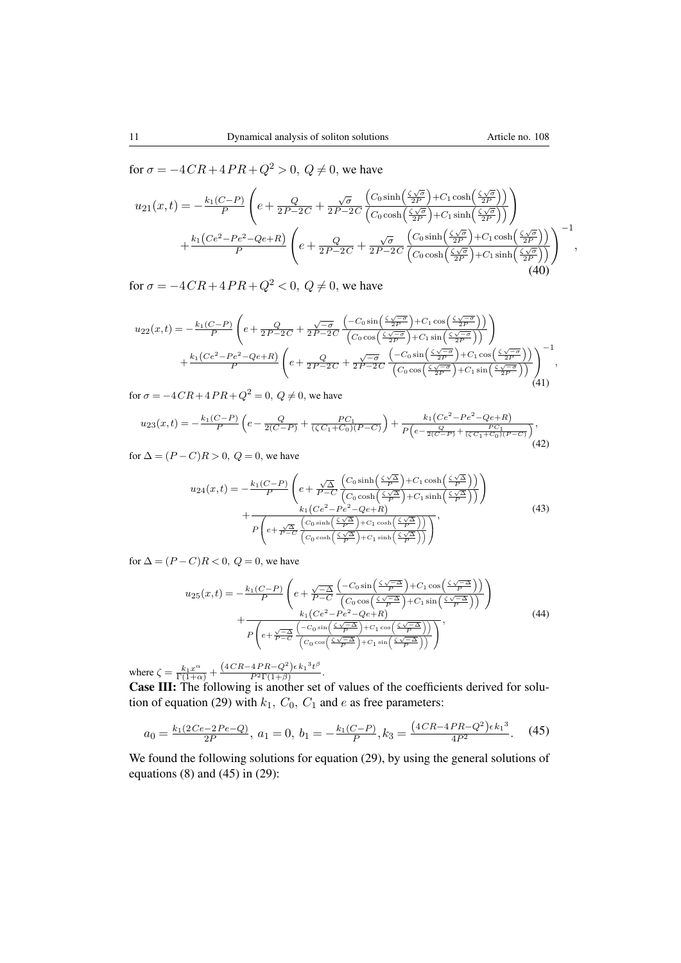for  $\sigma = -4CR + 4PR + Q^2 > 0$ ,  $Q \neq 0$ , we have

$$
u_{21}(x,t) = -\frac{k_1(C-P)}{P} \left( e + \frac{Q}{2P-2C} + \frac{\sqrt{\sigma}}{2P-2C} \frac{\left( C_0 \sinh\left(\frac{\zeta\sqrt{\sigma}}{2P}\right) + C_1 \cosh\left(\frac{\zeta\sqrt{\sigma}}{2P}\right) \right)}{\left( C_0 \cosh\left(\frac{\zeta\sqrt{\sigma}}{2P}\right) + C_1 \sinh\left(\frac{\zeta\sqrt{\sigma}}{2P}\right) \right)} \right) + \frac{k_1(Ce^2 - Pe^2 - Qe + R)}{P} \left( e + \frac{Q}{2P - 2C} + \frac{\sqrt{\sigma}}{2P - 2C} \frac{\left( C_0 \sinh\left(\frac{\zeta\sqrt{\sigma}}{2P}\right) + C_1 \cosh\left(\frac{\zeta\sqrt{\sigma}}{2P}\right) \right)}{\left( C_0 \cosh\left(\frac{\zeta\sqrt{\sigma}}{2P}\right) + C_1 \sinh\left(\frac{\zeta\sqrt{\sigma}}{2P}\right) \right)} \right)^{-1},
$$
\n(40)

for  $\sigma = -4CR + 4PR + Q^2 < 0$ ,  $Q \neq 0$ , we have

$$
u_{22}(x,t) = -\frac{k_1(C-P)}{P} \left( e + \frac{Q}{2P-2C} + \frac{\sqrt{-\sigma}}{2P-2C} \frac{\left(-C_0 \sin\left(\frac{\zeta\sqrt{-\sigma}}{2P}\right) + C_1 \cos\left(\frac{\zeta\sqrt{-\sigma}}{2P}\right)\right)}{\left(C_0 \cos\left(\frac{\zeta\sqrt{-\sigma}}{2P}\right) + C_1 \sin\left(\frac{\zeta\sqrt{-\sigma}}{2P}\right)\right)} \right) + \frac{k_1(Ce^2 - Pe^2 - Qe + R)}{P} \left( e + \frac{Q}{2P - 2C} + \frac{\sqrt{-\sigma}}{2P - 2C} \frac{\left(-C_0 \sin\left(\frac{\zeta\sqrt{-\sigma}}{2P}\right) + C_1 \cos\left(\frac{\zeta\sqrt{-\sigma}}{2P}\right)\right)}{\left(C_0 \cos\left(\frac{\zeta\sqrt{-\sigma}}{2P}\right) + C_1 \sin\left(\frac{\zeta\sqrt{-\sigma}}{2P}\right)\right)} \right)^{-1},
$$
\n(41)

for  $\sigma = -4CR + 4PR + Q^2 = 0$ ,  $Q \neq 0$ , we have

$$
u_{23}(x,t) = -\frac{k_1(C-P)}{P} \left( e - \frac{Q}{2(C-P)} + \frac{PC_1}{(\zeta C_1 + C_0)(P-C)} \right) + \frac{k_1(Ce^2 - Pe^2 - Qe + R)}{P\left(e - \frac{Q}{2(C-P)} + \frac{PC_1}{(\zeta C_1 + C_0)(P-C)}\right)},\tag{42}
$$

for  $\Delta = (P - C)R > 0$ ,  $Q = 0$ , we have

$$
u_{24}(x,t) = -\frac{k_1(C-P)}{P} \left( e + \frac{\sqrt{\Delta}}{P-C} \frac{\left( C_0 \sinh\left(\frac{\zeta \sqrt{\Delta}}{P}\right) + C_1 \cosh\left(\frac{\zeta \sqrt{\Delta}}{P}\right) \right)}{\left( C_0 \cosh\left(\frac{\zeta \sqrt{\Delta}}{P}\right) + C_1 \sinh\left(\frac{\zeta \sqrt{\Delta}}{P}\right) \right)} \right) + \frac{k_1(Ce^2 - Pe^2 - Qe + R)}{P \left( e + \frac{\sqrt{\Delta}}{P-C} \frac{\left( C_0 \sinh\left(\frac{\zeta \sqrt{\Delta}}{P}\right) + C_1 \cosh\left(\frac{\zeta \sqrt{\Delta}}{P}\right) \right)}{\left( C_0 \cosh\left(\frac{\zeta \sqrt{\Delta}}{P}\right) + C_1 \sinh\left(\frac{\zeta \sqrt{\Delta}}{P}\right) \right)} \right)},
$$
\n(43)

for  $\Delta = (P - C)R < 0$ ,  $Q = 0$ , we have

$$
u_{25}(x,t) = -\frac{k_1(C-P)}{P} \left( e + \frac{\sqrt{-\Delta}}{P-C} \frac{\left( -C_0 \sin\left(\frac{\zeta\sqrt{-\Delta}}{P}\right) + C_1 \cos\left(\frac{\zeta\sqrt{-\Delta}}{P}\right) \right)}{\left(C_0 \cos\left(\frac{\zeta\sqrt{-\Delta}}{P}\right) + C_1 \sin\left(\frac{\zeta\sqrt{-\Delta}}{P}\right) \right)} \right) + \frac{k_1(Ce^2 - Pe^2 - Qe + R)}{P \left(e + \frac{\sqrt{-\Delta}}{P-C} \frac{\left(-C_0 \sin\left(\frac{\zeta\sqrt{-\Delta}}{P}\right) + C_1 \cos\left(\frac{\zeta\sqrt{-\Delta}}{P}\right) \right)}{\left(C_0 \cos\left(\frac{\zeta\sqrt{-\Delta}}{P}\right) + C_1 \sin\left(\frac{\zeta\sqrt{-\Delta}}{P}\right) \right)} \right)},
$$
\n(44)

where  $\zeta = \frac{k_1 x^{\alpha}}{\Gamma(1+\alpha)} + \frac{(4CR - 4PR - Q^2)\epsilon k_1^3 t^{\beta}}{P^2 \Gamma(1+\beta)}$  $\frac{41 \pi \sqrt{9} \sqrt{6} \pi}{P^2 \Gamma(1+\beta)}$ .

Case III: The following is another set of values of the coefficients derived for solu-tion of equation [\(29\)](#page-8-0) with  $k_1$ ,  $C_0$ ,  $C_1$  and e as free parameters:

<span id="page-10-0"></span>
$$
a_0 = \frac{k_1(2Ce - 2Pe - Q)}{2P}, \ a_1 = 0, \ b_1 = -\frac{k_1(C - P)}{P}, k_3 = \frac{(4CR - 4PR - Q^2)\epsilon k_1^3}{4P^2}.
$$
 (45)

We found the following solutions for equation [\(29\)](#page-8-0), by using the general solutions of equations  $(8)$  and  $(45)$  in  $(29)$ :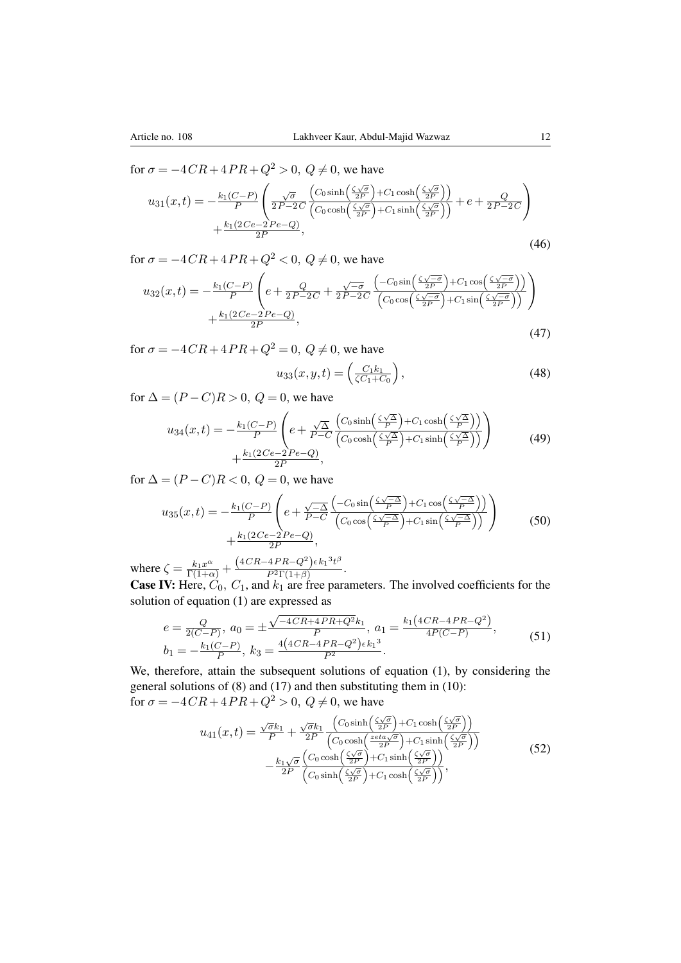for  $\sigma = -4CR + 4PR + Q^2 > 0$ ,  $Q \neq 0$ , we have

$$
u_{31}(x,t) = -\frac{k_1(C-P)}{P} \left( \frac{\sqrt{\sigma}}{2P - 2C} \frac{\left( C_0 \sinh\left(\frac{\zeta\sqrt{\sigma}}{2P}\right) + C_1 \cosh\left(\frac{\zeta\sqrt{\sigma}}{2P}\right) \right)}{\left( C_0 \cosh\left(\frac{\zeta\sqrt{\sigma}}{2P}\right) + C_1 \sinh\left(\frac{\zeta\sqrt{\sigma}}{2P}\right) \right)} + e + \frac{Q}{2P - 2C} \right) + \frac{k_1(2Ce - 2Pe - Q)}{2P},
$$
\n(46)

for  $\sigma = -4CR + 4PR + Q^2 < 0$ ,  $Q \neq 0$ , we have

$$
u_{32}(x,t) = -\frac{k_1(C-P)}{P} \left( e + \frac{Q}{2P-2C} + \frac{\sqrt{-\sigma}}{2P-2C} \frac{\left(-C_0 \sin\left(\frac{\zeta\sqrt{-\sigma}}{2P}\right) + C_1 \cos\left(\frac{\zeta\sqrt{-\sigma}}{2P}\right)\right)}{\left(C_0 \cos\left(\frac{\zeta\sqrt{-\sigma}}{2P}\right) + C_1 \sin\left(\frac{\zeta\sqrt{-\sigma}}{2P}\right)\right)} \right) + \frac{k_1(2Ce-2Pe-Q)}{2P},
$$
\n(47)

for  $\sigma = -4CR + 4PR + Q^2 = 0$ ,  $Q \neq 0$ , we have

$$
u_{33}(x, y, t) = \left(\frac{C_1 k_1}{\zeta C_1 + C_0}\right),\tag{48}
$$

for  $\Delta = (P - C)R > 0$ ,  $Q = 0$ , we have

$$
u_{34}(x,t) = -\frac{k_1(C-P)}{P} \left( e + \frac{\sqrt{\Delta}}{P-C} \frac{\left( C_0 \sinh\left(\frac{\zeta\sqrt{\Delta}}{P}\right) + C_1 \cosh\left(\frac{\zeta\sqrt{\Delta}}{P}\right) \right)}{\left( C_0 \cosh\left(\frac{\zeta\sqrt{\Delta}}{P}\right) + C_1 \sinh\left(\frac{\zeta\sqrt{\Delta}}{P}\right) \right)} \right) + \frac{k_1(2Ce-2Pe-Q)}{2P},
$$
\n(49)

for  $\Delta = (P - C)R < 0$ ,  $Q = 0$ , we have

$$
u_{35}(x,t) = -\frac{k_1(C-P)}{P} \left( e + \frac{\sqrt{-\Delta}}{P-C} \frac{\left( -C_0 \sin\left(\frac{\zeta\sqrt{-\Delta}}{P}\right) + C_1 \cos\left(\frac{\zeta\sqrt{-\Delta}}{P}\right) \right)}{\left( C_0 \cos\left(\frac{\zeta\sqrt{-\Delta}}{P}\right) + C_1 \sin\left(\frac{\zeta\sqrt{-\Delta}}{P}\right) \right)} \right) + \frac{k_1(2Ce-2Pe-Q)}{2P}, \tag{50}
$$

where  $\zeta = \frac{k_1 x^{\alpha}}{\Gamma(1+\alpha)} + \frac{(4CR - 4PR - Q^2)\epsilon k_1^3 t^{\beta}}{P^2 \Gamma(1+\beta)}$  $\frac{4H}{P^2\Gamma(1+\beta)}$ .

**Case IV:** Here,  $C_0$ ,  $C_1$ , and  $k_1$  are free parameters. The involved coefficients for the solution of equation [\(1\)](#page-1-0) are expressed as

$$
e = \frac{Q}{2(C-P)}, \ a_0 = \pm \frac{\sqrt{-4CR + 4PR + Q^2}k_1}{P}, \ a_1 = \frac{k_1(4CR - 4PR - Q^2)}{4P(C-P)},
$$
  
\n
$$
b_1 = -\frac{k_1(C-P)}{P}, \ k_3 = \frac{4(4CR - 4PR - Q^2)\epsilon k_1^3}{P^2}.
$$
\n(51)

We, therefore, attain the subsequent solutions of equation [\(1\)](#page-1-0), by considering the general solutions of [\(8\)](#page-3-3) and [\(17\)](#page-5-0) and then substituting them in [\(10\)](#page-4-1): for  $\sigma = -4CR + 4PR + Q^2 > 0$ ,  $Q \neq 0$ , we have

$$
u_{41}(x,t) = \frac{\sqrt{\sigma}k_1}{P} + \frac{\sqrt{\sigma}k_1}{2P} \frac{\left(C_0 \sinh\left(\frac{\zeta\sqrt{\sigma}}{2P}\right) + C_1 \cosh\left(\frac{\zeta\sqrt{\sigma}}{2P}\right)\right)}{\left(C_0 \cosh\left(\frac{z\epsilon t a \sqrt{\sigma}}{2P}\right) + C_1 \sinh\left(\frac{\zeta\sqrt{\sigma}}{2P}\right)\right)} - \frac{k_1\sqrt{\sigma}}{2P} \frac{\left(C_0 \cosh\left(\frac{\zeta\sqrt{\sigma}}{2P}\right) + C_1 \sinh\left(\frac{\zeta\sqrt{\sigma}}{2P}\right)\right)}{\left(C_0 \sinh\left(\frac{\zeta\sqrt{\sigma}}{2P}\right) + C_1 \cosh\left(\frac{\zeta\sqrt{\sigma}}{2P}\right)\right)},
$$
\n(52)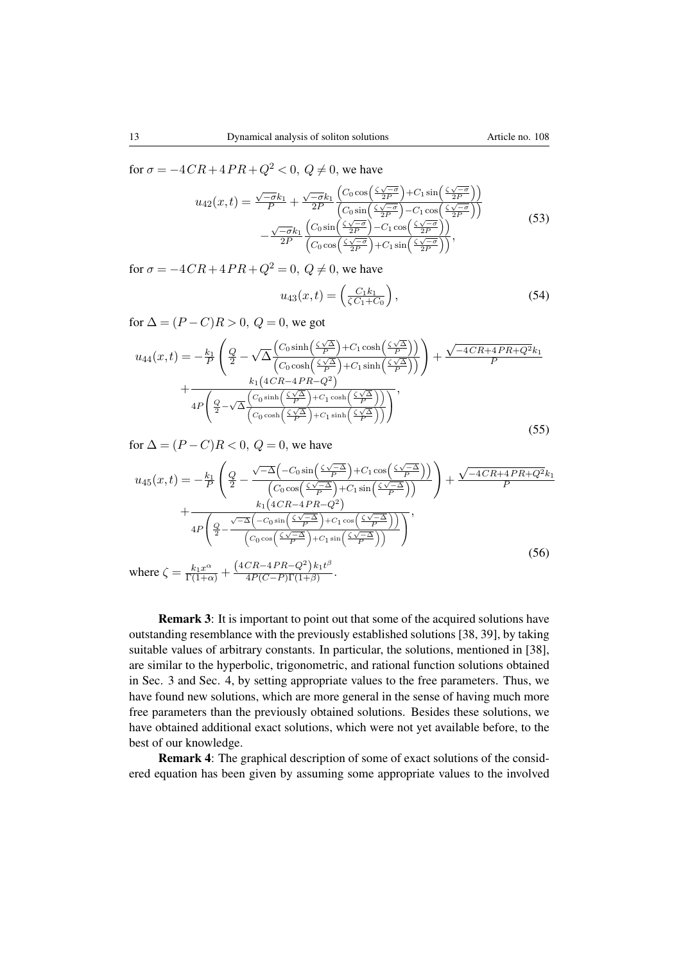for  $\sigma = -4CR + 4PR + Q^2 < 0$ ,  $Q \neq 0$ , we have

$$
u_{42}(x,t) = \frac{\sqrt{-\sigma}k_1}{P} + \frac{\sqrt{-\sigma}k_1}{2P} \frac{\left(C_0 \cos\left(\frac{\zeta\sqrt{-\sigma}}{2P}\right) + C_1 \sin\left(\frac{\zeta\sqrt{-\sigma}}{2P}\right)\right)}{\left(C_0 \sin\left(\frac{\zeta\sqrt{-\sigma}}{2P}\right) - C_1 \cos\left(\frac{\zeta\sqrt{-\sigma}}{2P}\right)\right)} - \frac{\sqrt{-\sigma}k_1}{2P} \frac{\left(C_0 \sin\left(\frac{\zeta\sqrt{-\sigma}}{2P}\right) - C_1 \cos\left(\frac{\zeta\sqrt{-\sigma}}{2P}\right)\right)}{\left(C_0 \cos\left(\frac{\zeta\sqrt{-\sigma}}{2P}\right) + C_1 \sin\left(\frac{\zeta\sqrt{-\sigma}}{2P}\right)\right)},
$$
\n(53)

for  $\sigma = -4CR + 4PR + Q^2 = 0$ ,  $Q \neq 0$ , we have

$$
u_{43}(x,t) = \left(\frac{C_1 k_1}{\zeta C_1 + C_0}\right),\tag{54}
$$

for  $\Delta = (P - C)R > 0$ ,  $Q = 0$ , we got

$$
u_{44}(x,t) = -\frac{k_1}{P} \left( \frac{Q}{2} - \sqrt{\Delta} \frac{\left( C_0 \sinh\left(\frac{\zeta \sqrt{\Delta}}{P}\right) + C_1 \cosh\left(\frac{\zeta \sqrt{\Delta}}{P}\right) \right)}{\left( C_0 \cosh\left(\frac{\zeta \sqrt{\Delta}}{P}\right) + C_1 \sinh\left(\frac{\zeta \sqrt{\Delta}}{P}\right) \right)} \right) + \frac{\sqrt{-4CR + 4PR + Q^2} k_1}{P} + \frac{k_1 \left( 4CR - 4PR - Q^2 \right)}{4P \left( \frac{Q}{2} - \sqrt{\Delta} \frac{\left( C_0 \sinh\left(\frac{\zeta \sqrt{\Delta}}{P}\right) + C_1 \cosh\left(\frac{\zeta \sqrt{\Delta}}{P}\right) \right)}{\left( C_0 \cosh\left(\frac{\zeta \sqrt{\Delta}}{P}\right) + C_1 \sinh\left(\frac{\zeta \sqrt{\Delta}}{P}\right) \right)} \right)},
$$
\n(55)

for  $\Delta = (P - C)R < 0$ ,  $Q = 0$ , we have

$$
u_{45}(x,t) = -\frac{k_1}{P} \left( \frac{Q}{2} - \frac{\sqrt{-\Delta} \left( -C_0 \sin\left(\frac{\zeta \sqrt{-\Delta}}{P}\right) + C_1 \cos\left(\frac{\zeta \sqrt{-\Delta}}{P}\right) \right)}{\left(C_0 \cos\left(\frac{\zeta \sqrt{-\Delta}}{P}\right) + C_1 \sin\left(\frac{\zeta \sqrt{-\Delta}}{P}\right)\right)} \right) + \frac{\sqrt{-4CR + 4PR + Q^2}k_1}{P}
$$

$$
+ \frac{k_1 \left(4CR - 4PR - Q^2\right)}{4P \left( \frac{Q}{2} - \frac{\sqrt{-\Delta} \left(-C_0 \sin\left(\frac{\zeta \sqrt{-\Delta}}{P}\right) + C_1 \cos\left(\frac{\zeta \sqrt{-\Delta}}{P}\right)\right)}{\left(C_0 \cos\left(\frac{\zeta \sqrt{-\Delta}}{P}\right) + C_1 \sin\left(\frac{\zeta \sqrt{-\Delta}}{P}\right)\right)} \right)},
$$
  
where  $\zeta = \frac{k_1 x^{\alpha}}{\Gamma(1+\alpha)} + \frac{\left(4CR - 4PR - Q^2\right)k_1 t^{\beta}}{4P(C - P)\Gamma(1+\beta)}.$  (56)

Remark 3: It is important to point out that some of the acquired solutions have outstanding resemblance with the previously established solutions [\[38,](#page-16-2) [39\]](#page-16-3), by taking suitable values of arbitrary constants. In particular, the solutions, mentioned in [\[38\]](#page-16-2), are similar to the hyperbolic, trigonometric, and rational function solutions obtained in Sec. 3 and Sec. 4, by setting appropriate values to the free parameters. Thus, we have found new solutions, which are more general in the sense of having much more free parameters than the previously obtained solutions. Besides these solutions, we have obtained additional exact solutions, which were not yet available before, to the best of our knowledge.

Remark 4: The graphical description of some of exact solutions of the considered equation has been given by assuming some appropriate values to the involved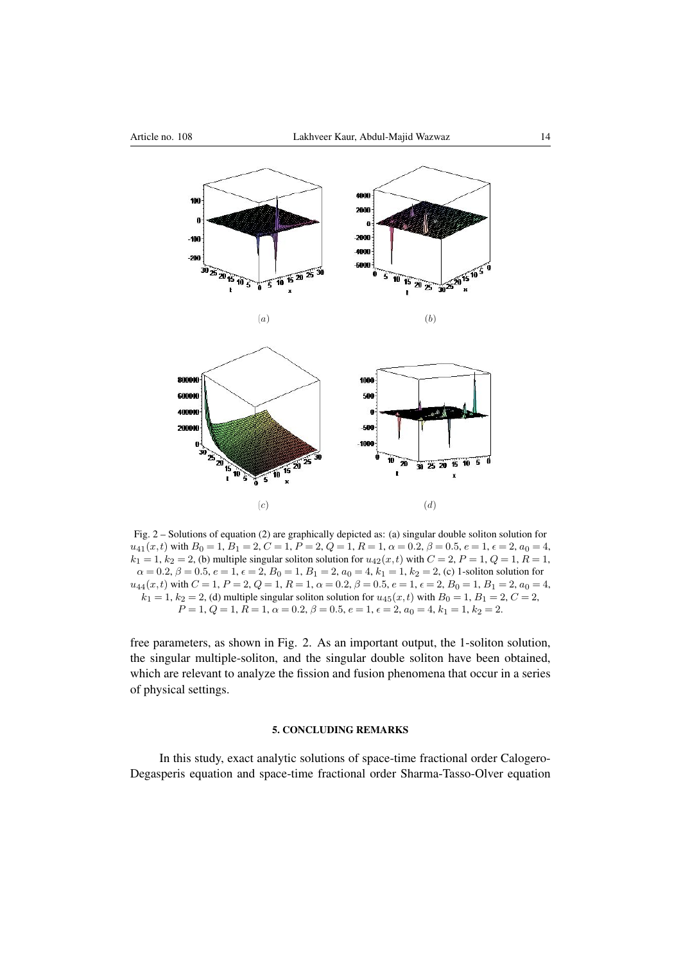

Fig. 2 – Solutions of equation [\(2\)](#page-1-1) are graphically depicted as: (a) singular double soliton solution for  $u_{41}(x,t)$  with  $B_0 = 1$ ,  $B_1 = 2$ ,  $C = 1$ ,  $P = 2$ ,  $Q = 1$ ,  $R = 1$ ,  $\alpha = 0.2$ ,  $\beta = 0.5$ ,  $e = 1$ ,  $\epsilon = 2$ ,  $a_0 = 4$ ,  $k_1 = 1$ ,  $k_2 = 2$ , (b) multiple singular soliton solution for  $u_{42}(x,t)$  with  $C = 2$ ,  $P = 1$ ,  $Q = 1$ ,  $R = 1$ ,  $\alpha = 0.2, \beta = 0.5, e = 1, \epsilon = 2, B_0 = 1, B_1 = 2, a_0 = 4, k_1 = 1, k_2 = 2, c$  (c) 1-soliton solution for  $u_{44}(x,t)$  with  $C = 1$ ,  $P = 2$ ,  $Q = 1$ ,  $R = 1$ ,  $\alpha = 0.2$ ,  $\beta = 0.5$ ,  $e = 1$ ,  $\epsilon = 2$ ,  $B_0 = 1$ ,  $B_1 = 2$ ,  $a_0 = 4$ ,  $k_1 = 1$ ,  $k_2 = 2$ , (d) multiple singular soliton solution for  $u_{45}(x, t)$  with  $B_0 = 1$ ,  $B_1 = 2$ ,  $C = 2$ ,  $P = 1, Q = 1, R = 1, \alpha = 0.2, \beta = 0.5, e = 1, \epsilon = 2, a_0 = 4, k_1 = 1, k_2 = 2.$ 

free parameters, as shown in Fig. 2. As an important output, the 1-soliton solution, the singular multiple-soliton, and the singular double soliton have been obtained, which are relevant to analyze the fission and fusion phenomena that occur in a series of physical settings.

#### 5. CONCLUDING REMARKS

In this study, exact analytic solutions of space-time fractional order Calogero-Degasperis equation and space-time fractional order Sharma-Tasso-Olver equation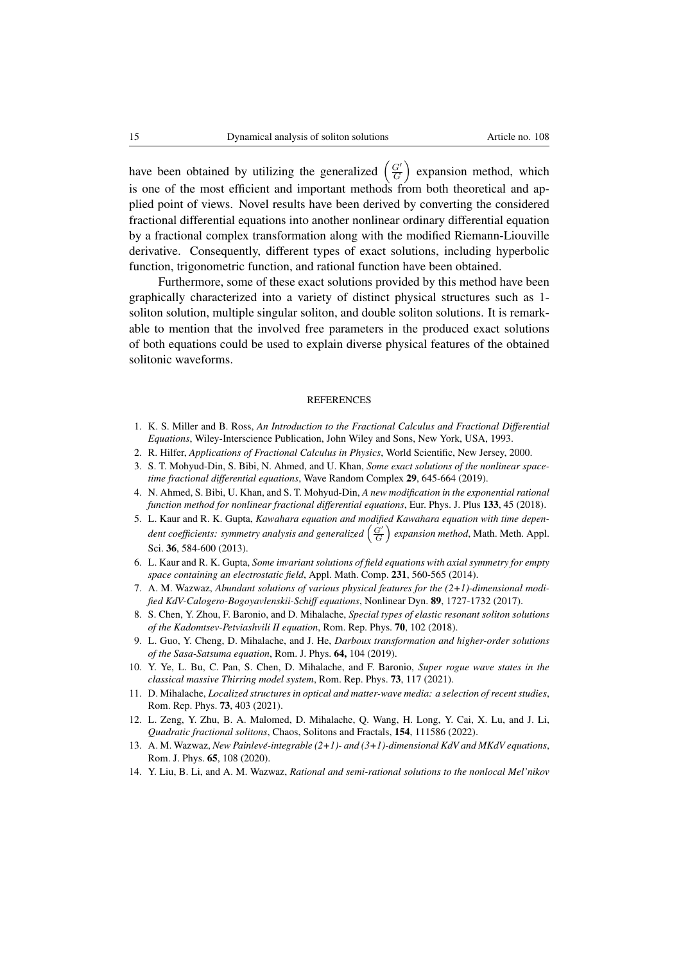have been obtained by utilizing the generalized  $\left(\frac{G'}{G}\right)$  $\left(\frac{G'}{G}\right)$  expansion method, which is one of the most efficient and important methods from both theoretical and applied point of views. Novel results have been derived by converting the considered fractional differential equations into another nonlinear ordinary differential equation by a fractional complex transformation along with the modified Riemann-Liouville derivative. Consequently, different types of exact solutions, including hyperbolic function, trigonometric function, and rational function have been obtained.

Furthermore, some of these exact solutions provided by this method have been graphically characterized into a variety of distinct physical structures such as 1 soliton solution, multiple singular soliton, and double soliton solutions. It is remarkable to mention that the involved free parameters in the produced exact solutions of both equations could be used to explain diverse physical features of the obtained solitonic waveforms.

#### REFERENCES

- <span id="page-14-0"></span>1. K. S. Miller and B. Ross, *An Introduction to the Fractional Calculus and Fractional Differential Equations*, Wiley-Interscience Publication, John Wiley and Sons, New York, USA, 1993.
- <span id="page-14-3"></span>2. R. Hilfer, *Applications of Fractional Calculus in Physics*, World Scientific, New Jersey, 2000.
- 3. S. T. Mohyud-Din, S. Bibi, N. Ahmed, and U. Khan, *Some exact solutions of the nonlinear spacetime fractional differential equations*, Wave Random Complex 29, 645-664 (2019).
- <span id="page-14-1"></span>4. N. Ahmed, S. Bibi, U. Khan, and S. T. Mohyud-Din, *A new modification in the exponential rational function method for nonlinear fractional differential equations*, Eur. Phys. J. Plus 133, 45 (2018).
- <span id="page-14-2"></span>5. L. Kaur and R. K. Gupta, *Kawahara equation and modified Kawahara equation with time depen*dent coefficients: symmetry analysis and generalized  $\left(\frac{G'}{G}\right)$  expansion method, Math. Meth. Appl. Sci. 36, 584-600 (2013).
- 6. L. Kaur and R. K. Gupta, *Some invariant solutions of field equations with axial symmetry for empty space containing an electrostatic field*, Appl. Math. Comp. 231, 560-565 (2014).
- 7. A. M. Wazwaz, *Abundant solutions of various physical features for the (2+1)-dimensional modified KdV-Calogero-Bogoyavlenskii-Schiff equations*, Nonlinear Dyn. 89, 1727-1732 (2017).
- 8. S. Chen, Y. Zhou, F. Baronio, and D. Mihalache, *Special types of elastic resonant soliton solutions of the Kadomtsev-Petviashvili II equation*, Rom. Rep. Phys. 70, 102 (2018).
- 9. L. Guo, Y. Cheng, D. Mihalache, and J. He, *Darboux transformation and higher-order solutions of the Sasa-Satsuma equation*, Rom. J. Phys. 64, 104 (2019).
- 10. Y. Ye, L. Bu, C. Pan, S. Chen, D. Mihalache, and F. Baronio, *Super rogue wave states in the classical massive Thirring model system*, Rom. Rep. Phys. 73, 117 (2021).
- 11. D. Mihalache, *Localized structures in optical and matter-wave media: a selection of recent studies*, Rom. Rep. Phys. 73, 403 (2021).
- 12. L. Zeng, Y. Zhu, B. A. Malomed, D. Mihalache, Q. Wang, H. Long, Y. Cai, X. Lu, and J. Li, *Quadratic fractional solitons*, Chaos, Solitons and Fractals, 154, 111586 (2022).
- 13. A. M. Wazwaz, *New Painleve-integrable (2+1)- and (3+1)-dimensional KdV and MKdV equations ´* , Rom. J. Phys. 65, 108 (2020).
- 14. Y. Liu, B. Li, and A. M. Wazwaz, *Rational and semi-rational solutions to the nonlocal Mel'nikov*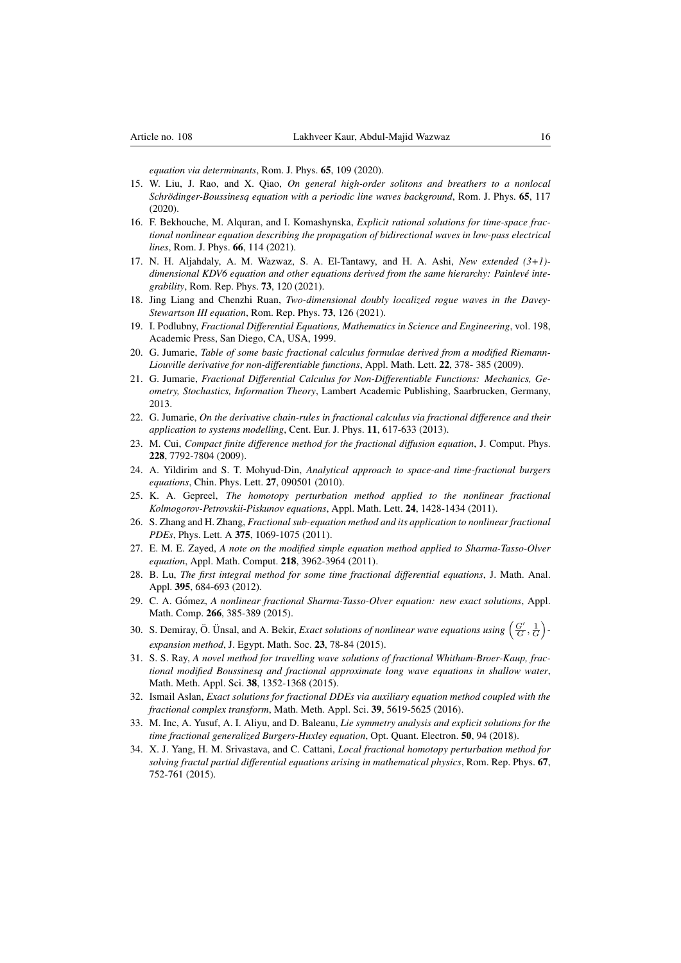*equation via determinants*, Rom. J. Phys. 65, 109 (2020).

- 15. W. Liu, J. Rao, and X. Qiao, *On general high-order solitons and breathers to a nonlocal Schrödinger-Boussinesq equation with a periodic line waves background, Rom. J. Phys.* 65, 117 (2020).
- 16. F. Bekhouche, M. Alquran, and I. Komashynska, *Explicit rational solutions for time-space fractional nonlinear equation describing the propagation of bidirectional waves in low-pass electrical lines*, Rom. J. Phys. 66, 114 (2021).
- 17. N. H. Aljahdaly, A. M. Wazwaz, S. A. El-Tantawy, and H. A. Ashi, *New extended (3+1) dimensional KDV6 equation and other equations derived from the same hierarchy: Painleve inte- ´ grability*, Rom. Rep. Phys. 73, 120 (2021).
- <span id="page-15-0"></span>18. Jing Liang and Chenzhi Ruan, *Two-dimensional doubly localized rogue waves in the Davey-Stewartson III equation*, Rom. Rep. Phys. 73, 126 (2021).
- <span id="page-15-1"></span>19. I. Podlubny, *Fractional Differential Equations, Mathematics in Science and Engineering*, vol. 198, Academic Press, San Diego, CA, USA, 1999.
- <span id="page-15-2"></span>20. G. Jumarie, *Table of some basic fractional calculus formulae derived from a modified Riemann-Liouville derivative for non-differentiable functions*, Appl. Math. Lett. 22, 378- 385 (2009).
- <span id="page-15-16"></span>21. G. Jumarie, *Fractional Differential Calculus for Non-Differentiable Functions: Mechanics, Geometry, Stochastics, Information Theory*, Lambert Academic Publishing, Saarbrucken, Germany, 2013.
- <span id="page-15-3"></span>22. G. Jumarie, *On the derivative chain-rules in fractional calculus via fractional difference and their application to systems modelling*, Cent. Eur. J. Phys. 11, 617-633 (2013).
- <span id="page-15-4"></span>23. M. Cui, *Compact finite difference method for the fractional diffusion equation*, J. Comput. Phys. 228, 7792-7804 (2009).
- <span id="page-15-5"></span>24. A. Yildirim and S. T. Mohyud-Din, *Analytical approach to space-and time-fractional burgers equations*, Chin. Phys. Lett. 27, 090501 (2010).
- <span id="page-15-6"></span>25. K. A. Gepreel, *The homotopy perturbation method applied to the nonlinear fractional Kolmogorov-Petrovskii-Piskunov equations*, Appl. Math. Lett. 24, 1428-1434 (2011).
- <span id="page-15-7"></span>26. S. Zhang and H. Zhang, *Fractional sub-equation method and its application to nonlinear fractional PDEs*, Phys. Lett. A 375, 1069-1075 (2011).
- <span id="page-15-8"></span>27. E. M. E. Zayed, *A note on the modified simple equation method applied to Sharma-Tasso-Olver equation*, Appl. Math. Comput. 218, 3962-3964 (2011).
- <span id="page-15-9"></span>28. B. Lu, *The first integral method for some time fractional differential equations*, J. Math. Anal. Appl. 395, 684-693 (2012).
- <span id="page-15-10"></span>29. C. A. G´omez, *A nonlinear fractional Sharma-Tasso-Olver equation: new exact solutions*, Appl. Math. Comp. 266, 385-389 (2015).
- <span id="page-15-11"></span>30. S. Demiray, Ö. Ünsal, and A. Bekir, *Exact solutions of nonlinear wave equations using*  $(\frac{G'}{G}, \frac{1}{G})$ . *expansion method*, J. Egypt. Math. Soc. 23, 78-84 (2015).
- <span id="page-15-12"></span>31. S. S. Ray, *A novel method for travelling wave solutions of fractional Whitham-Broer-Kaup, fractional modified Boussinesq and fractional approximate long wave equations in shallow water*, Math. Meth. Appl. Sci. 38, 1352-1368 (2015).
- <span id="page-15-13"></span>32. Ismail Aslan, *Exact solutions for fractional DDEs via auxiliary equation method coupled with the fractional complex transform*, Math. Meth. Appl. Sci. 39, 5619-5625 (2016).
- <span id="page-15-14"></span>33. M. Inc, A. Yusuf, A. I. Aliyu, and D. Baleanu, *Lie symmetry analysis and explicit solutions for the time fractional generalized Burgers-Huxley equation*, Opt. Quant. Electron. 50, 94 (2018).
- <span id="page-15-15"></span>34. X. J. Yang, H. M. Srivastava, and C. Cattani, *Local fractional homotopy perturbation method for solving fractal partial differential equations arising in mathematical physics*, Rom. Rep. Phys. 67, 752-761 (2015).